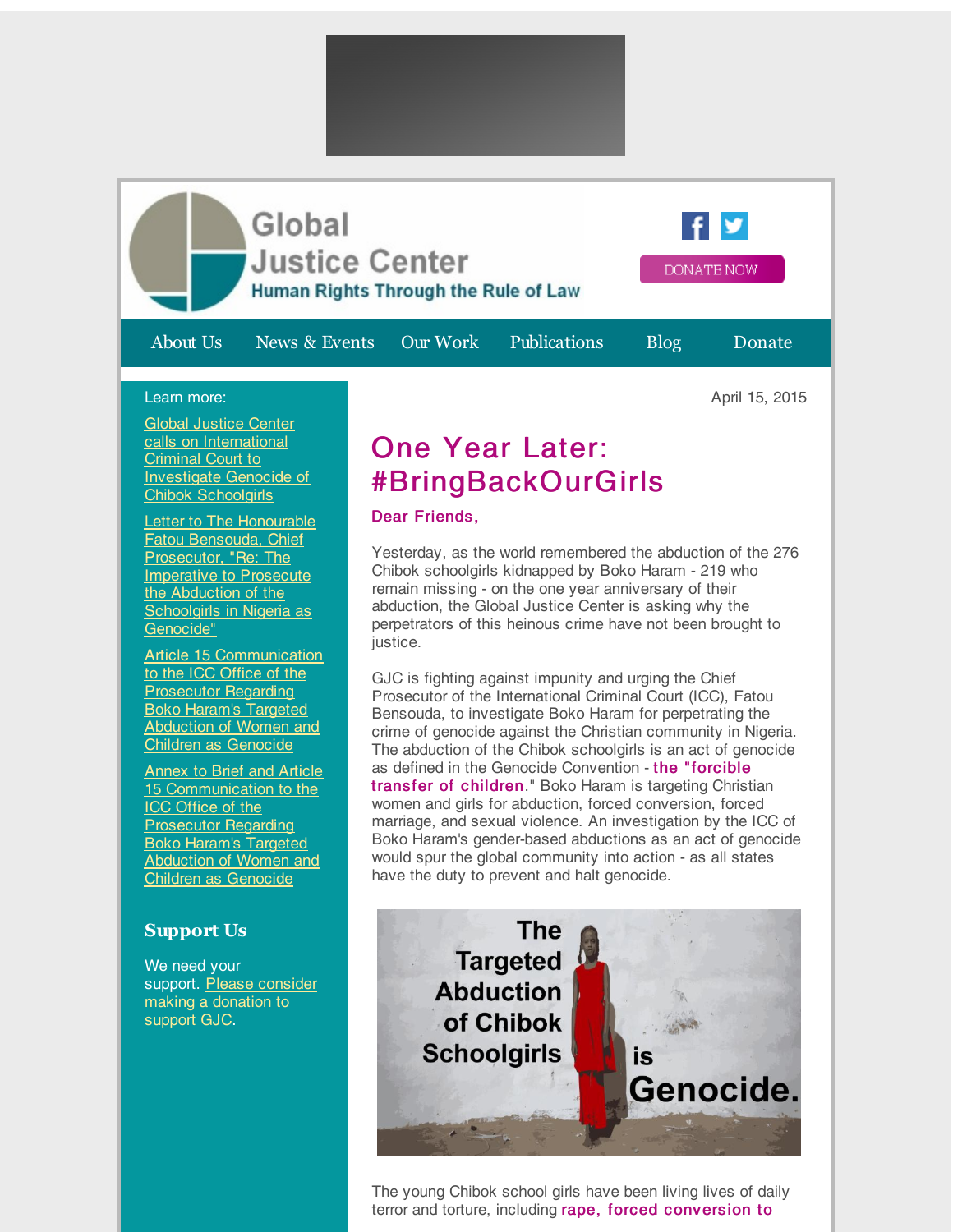

## Learn more:

Global Justice Center calls on [International](http://r20.rs6.net/tn.jsp?f=001LP4xaVH-uQBEj7FkH47tkU5_HvPq4MPGNtSSU1JOgkT52iN54Wf4M1mruHOJSyVWv_pbJsGVAOIEN3tJEuHNTddkQKP-AhL7VEesRM5ipDtceBBOxysGXCpk1KAg_G2YbrKApnkoA8atPDxPAfady0pzRGx4unZJY3-XFumtjv2HQlZOX1V6FMtH0lNelGsEgnIdZQU0KuuMDuxDRBveDNFR42jCIthXv57EL9Cd9B-YX_8e_RFEzeLA_KyFjoo0PyfUVUE0z5EsMa6uUvyJj-FDQEwR5ufSrcKZvrBAcGMVzaKo1LogWMf-TswdMamiXgD1_Bq-5uzC3DRaNyp2ntc27Y8_G75vEmLYci-CQdN9iCQvybyOeKCm3OST4O2O-BflxdqDnbCrPrh6A0ebnA==&c=&ch=) Criminal Court to Investigate Genocide of Chibok Schoolgirls

**Letter to The Honourable** Fatou Bensouda, Chief [Prosecutor,](http://r20.rs6.net/tn.jsp?f=001LP4xaVH-uQBEj7FkH47tkU5_HvPq4MPGNtSSU1JOgkT52iN54Wf4M1mruHOJSyVWJyc_w5W9QCDmDjL-0t47suo87Ck7XXa133XyUjEvRh6acwd4Jyku6gKA6LimsG_j6SiFlek_npEMUlr3wCATP-TiyPJPYEyv8KzLpjhkTqeBvAJIAKpjGjLlBamZnhxTq_yZZEyl9-jxHDaVrDAQgn90YKxCCTZAlZK_DDHZaJ_9bvexdqKEt0Ro2LTpRtP9CtpUkg2t-Oylsi_ofJ3qgjnRVC2SmrmFdRrwfOIPjvHun_QfS_v5MRn4nAdtqWum93muYep2iCYeqg8mkL_H1MF6F67e-iJhRCmAcQw1NUZAqpBoRSSGQFhRPpfwvcP2yYXipedtmQKRHlry9wHTJCDOwy-iekG8E4zUhvV5F40=&c=&ch=) "Re: The **Imperative to Prosecute** the Abduction of the Schoolgirls in Nigeria as Genocide"

Article 15 [Communication](http://r20.rs6.net/tn.jsp?f=001LP4xaVH-uQBEj7FkH47tkU5_HvPq4MPGNtSSU1JOgkT52iN54Wf4M1mruHOJSyVW1cLuo0OMfOvjyb6sxMx8bqE3IgiOlQ7uJGM43EohU6QcgJXAX3Fh885zxE7eA10pwTdq05SIBQZqmoXByrX809aiJjIIdA41HqYEa_VqcXavGq4vEKABB4mN70oCwH1b_paWCY7_yI8gLOMI6JEfZ8YzAMse0dODexf_q2yWhXl08zyU-XQj5MIsyag5S-8Ma1Y25bi3z579SnbGaWRh8PXfMjQUplIjxB5m2Q8sgYFNoE0cVxTerzslSWK_eN5oWGhZ3AptXSc4yqPIkSvOANm6W3FDUx6dtGJGXMmvPoKcstk7dOBNdy15deen2iatAsjxobS_n_ayD35XUNYm3wxirRiTEmF7e-rggx3UQvfA7AFtVpODXVWV2XLCO2WV&c=&ch=) to the ICC Office of the Prosecutor Regarding Boko Haram's Targeted **Abduction of Women and** Children as Genocide

Annex to Brief and Article 15 [Communication](http://r20.rs6.net/tn.jsp?f=001LP4xaVH-uQBEj7FkH47tkU5_HvPq4MPGNtSSU1JOgkT52iN54Wf4M1mruHOJSyVW_cjzsCNEku2TA5wEIaYmkUOzJdhqjjJrJ3JAdORp6npmEz7vlKKd4jwIn26nTHAOE7fd8AHQq3a0xQMlf_s8vxo4geBFcG-JHoAWJQ2rxP0gc3Nbj1fQV3uSeOnpm_Q-ALrCEM4w2h7AZHc4BqxVT-dxoiFbKU57-qtOxJkSZ9qfTpGHDqb7xI_XEE_3MnfugEwOxpZveS2Qa_6vejfth_arg__7MbTm2Y2RbVQKAUbabNc3zn-vLSyaXRRR3Ok4IQ_gacAuJyNkbuNiB1APrn3bchRBsgU0RHUiNY4-iMz9frN5e38LerYOr0ncZmnTVQ-BaJ_hhBL4tL7SqxTcaDp2F0QNob8g34OxtSN4enqNb5qvYEt9hwGAdipVi1a5Xvte0FXxz5Fs-vJkGjGWUQ==&c=&ch=) to the ICC Office of the Prosecutor Regarding Boko Haram's Targeted Abduction of Women and Children as Genocide

## **Support Us**

We need your support. Please consider making a [donation](http://r20.rs6.net/tn.jsp?f=001LP4xaVH-uQBEj7FkH47tkU5_HvPq4MPGNtSSU1JOgkT52iN54Wf4M8Yhoy-yBFTVKtR8JOJPsfRXTd1BQ0o6FdqvwHy5qVrBRXe24nVid9DW8IaqlZjzgM-cABQyDeijTFYGbXKJrK7RA8GwQ8tbRrQZOlGD80dKG58FVqDh9xtC4vf0A_x5sgcDBEAJUzhxcOvIKtxMIow=&c=&ch=) to support GJC.

## One Year Later: #BringBackOurGirls

## Dear Friends,

Yesterday, as the world remembered the abduction of the 276 Chibok schoolgirls kidnapped by Boko Haram - 219 who remain missing - on the one year anniversary of their abduction, the Global Justice Center is asking why the perpetrators of this heinous crime have not been brought to justice.

GJC is fighting against impunity and urging the Chief Prosecutor of the International Criminal Court (ICC), Fatou Bensouda, to investigate Boko Haram for perpetrating the crime of genocide against the Christian community in Nigeria. The abduction of the Chibok schoolgirls is an act of genocide as defined in the Genocide Convention - the "forcible transfer of children." Boko Haram is targeting Christian women and girls for abduction, forced conversion, forced marriage, and sexual violence. An investigation by the ICC of Boko Haram's gender-based abductions as an act of genocide would spur the global community into action - as all states have the duty to prevent and halt genocide.



The young Chibok school girls have been living lives of daily terror and torture, including rape, forced conversion to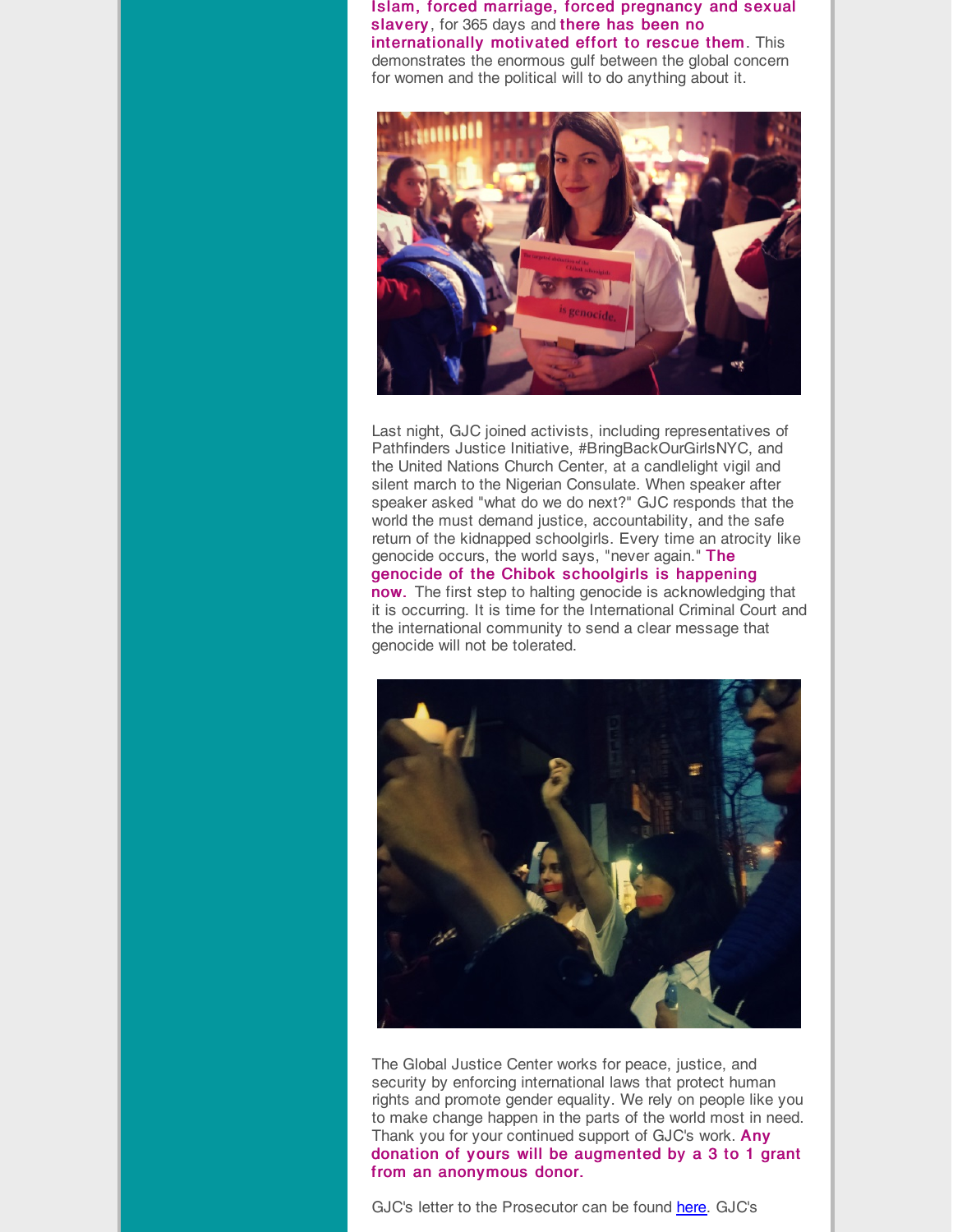Islam, forced marriage, forced pregnancy and sexual slavery, for 365 days and there has been no internationally motivated effort to rescue them. This demonstrates the enormous gulf between the global concern for women and the political will to do anything about it.



Last night, GJC joined activists, including representatives of Pathfinders Justice Initiative, #BringBackOurGirlsNYC, and the United Nations Church Center, at a candlelight vigil and silent march to the Nigerian Consulate. When speaker after speaker asked "what do we do next?" GJC responds that the world the must demand justice, accountability, and the safe return of the kidnapped schoolgirls. Every time an atrocity like genocide occurs, the world says, "never again." The genocide of the Chibok schoolgirls is happening now. The first step to halting genocide is acknowledging that it is occurring. It is time for the International Criminal Court and the international community to send a clear message that genocide will not be tolerated.



The Global Justice Center works for peace, justice, and security by enforcing international laws that protect human rights and promote gender equality. We rely on people like you to make change happen in the parts of the world most in need. Thank you for your continued support of GJC's work. Any donation of yours will be augmented by a 3 to 1 grant from an anonymous donor.

GJC's letter to the Prosecutor can be found [here](http://r20.rs6.net/tn.jsp?f=001LP4xaVH-uQBEj7FkH47tkU5_HvPq4MPGNtSSU1JOgkT52iN54Wf4M1mruHOJSyVWJyc_w5W9QCDmDjL-0t47suo87Ck7XXa133XyUjEvRh6acwd4Jyku6gKA6LimsG_j6SiFlek_npEMUlr3wCATP-TiyPJPYEyv8KzLpjhkTqeBvAJIAKpjGjLlBamZnhxTq_yZZEyl9-jxHDaVrDAQgn90YKxCCTZAlZK_DDHZaJ_9bvexdqKEt0Ro2LTpRtP9CtpUkg2t-Oylsi_ofJ3qgjnRVC2SmrmFdRrwfOIPjvHun_QfS_v5MRn4nAdtqWum93muYep2iCYeqg8mkL_H1MF6F67e-iJhRCmAcQw1NUZAqpBoRSSGQFhRPpfwvcP2yYXipedtmQKRHlry9wHTJCDOwy-iekG8E4zUhvV5F40=&c=&ch=). GJC's